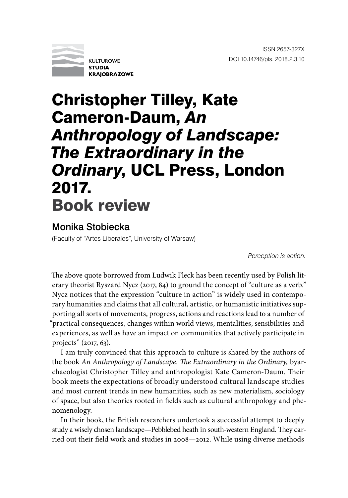

## Christopher Tilley, Kate Cameron-Daum, *An Anthropology of Landscape: The Extraordinary in the Ordinary*, UCL Press, London 2017. Book review

## Monika Stobiecka

(Faculty of "Artes Liberales", University of Warsaw)

*Perception is action.*

The above quote borrowed from Ludwik Fleck has been recently used by Polish literary theorist Ryszard Nycz (2017, 84) to ground the concept of "culture as a verb." Nycz notices that the expression "culture in action" is widely used in contemporary humanities and claims that all cultural, artistic, or humanistic initiatives supporting all sorts of movements, progress, actions and reactions lead to a number of "practical consequences, changes within world views, mentalities, sensibilities and experiences, as well as have an impact on communities that actively participate in projects" (2017, 63).

I am truly convinced that this approach to culture is shared by the authors of the book *An Anthropology of Landscape. The Extraordinary in the Ordinary,* byarchaeologist Christopher Tilley and anthropologist Kate Cameron-Daum. Their book meets the expectations of broadly understood cultural landscape studies and most current trends in new humanities, such as new materialism, sociology of space, but also theories rooted in fields such as cultural anthropology and phenomenology.

In their book, the British researchers undertook a successful attempt to deeply study a wisely chosen landscape—Pebblebed heath in south-western England. They carried out their field work and studies in 2008—2012. While using diverse methods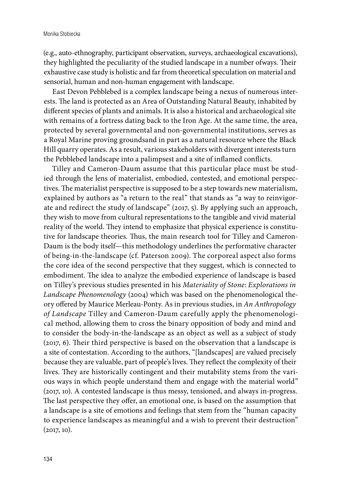(e.g., auto-ethnography, participant observation, surveys, archaeological excavations), they highlighted the peculiarity of the studied landscape in a number ofways. Their exhaustive case study is holistic and far from theoretical speculation on material and sensorial, human and non-human engagement with landscape.

East Devon Pebblebed is a complex landscape being a nexus of numerous interests. The land is protected as an Area of Outstanding Natural Beauty, inhabited by different species of plants and animals. It is also a historical and archaeological site with remains of a fortress dating back to the Iron Age. At the same time, the area, protected by several governmental and non-governmental institutions, serves as a Royal Marine proving groundsand in part as a natural resource where the Black Hill quarry operates. As a result, various stakeholders with divergent interests turn the Pebblebed landscape into a palimpsest and a site of inflamed conflicts.

Tilley and Cameron-Daum assume that this particular place must be studied through the lens of materialist, embodied, contested, and emotional perspectives. The materialist perspective is supposed to be a step towards new materialism, explained by authors as "a return to the real" that stands as "a way to reinvigorate and redirect the study of landscape" (2017, 5). By applying such an approach, they wish to move from cultural representations to the tangible and vivid material reality of the world. They intend to emphasize that physical experience is constitutive for landscape theories. Thus, the main research tool for Tilley and Cameron-Daum is the body itself—this methodology underlines the performative character of being-in-the-landscape (cf. Paterson 2009). The corporeal aspect also forms the core idea of the second perspective that they suggest, which is connected to embodiment. The idea to analyze the embodied experience of landscape is based on Tilley's previous studies presented in his *Materiality of Stone*: *Explorations in Landscape Phenomenology* (2004) which was based on the phenomenological theory offered by Maurice Merleau-Ponty. As in previous studies, in *An Anthropology of Landscape* Tilley and Cameron-Daum carefully apply the phenomenological method, allowing them to cross the binary opposition of body and mind and to consider the body-in-the-landscape as an object as well as a subject of study (2017, 6). Their third perspective is based on the observation that a landscape is a site of contestation. According to the authors, "[landscapes] are valued precisely because they are valuable, part of people's lives. They reflect the complexity of their lives. They are historically contingent and their mutability stems from the various ways in which people understand them and engage with the material world" (2017, 10). A contested landscape is thus messy, tensioned, and always in-progress. The last perspective they offer, an emotional one, is based on the assumption that a landscape is a site of emotions and feelings that stem from the "human capacity to experience landscapes as meaningful and a wish to prevent their destruction"  $(2017, 10)$ .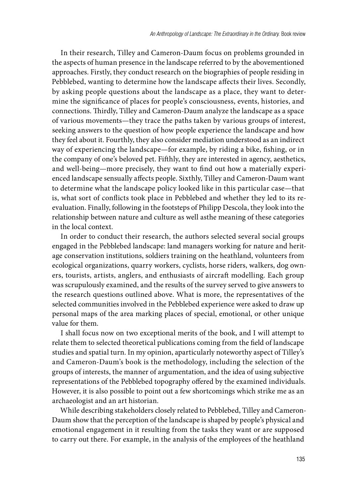In their research, Tilley and Cameron-Daum focus on problems grounded in the aspects of human presence in the landscape referred to by the abovementioned approaches. Firstly, they conduct research on the biographies of people residing in Pebblebed, wanting to determine how the landscape affects their lives. Secondly, by asking people questions about the landscape as a place, they want to determine the significance of places for people's consciousness, events, histories, and connections. Thirdly, Tilley and Cameron-Daum analyze the landscape as a space of various movements—they trace the paths taken by various groups of interest, seeking answers to the question of how people experience the landscape and how they feel about it. Fourthly, they also consider mediation understood as an indirect way of experiencing the landscape—for example, by riding a bike, fishing, or in the company of one's beloved pet. Fifthly, they are interested in agency, aesthetics, and well-being—more precisely, they want to find out how a materially experienced landscape sensually affects people. Sixthly, Tilley and Cameron-Daum want to determine what the landscape policy looked like in this particular case—that is, what sort of conflicts took place in Pebblebed and whether they led to its reevaluation. Finally, following in the footsteps of Philipp Descola, they look into the relationship between nature and culture as well asthe meaning of these categories in the local context.

In order to conduct their research, the authors selected several social groups engaged in the Pebblebed landscape: land managers working for nature and heritage conservation institutions, soldiers training on the heathland, volunteers from ecological organizations, quarry workers, cyclists, horse riders, walkers, dog owners, tourists, artists, anglers, and enthusiasts of aircraft modelling. Each group was scrupulously examined, and the results of the survey served to give answers to the research questions outlined above. What is more, the representatives of the selected communities involved in the Pebblebed experience were asked to draw up personal maps of the area marking places of special, emotional, or other unique value for them.

I shall focus now on two exceptional merits of the book, and I will attempt to relate them to selected theoretical publications coming from the field of landscape studies and spatial turn. In my opinion, aparticularly noteworthy aspect of Tilley's and Cameron-Daum's book is the methodology, including the selection of the groups of interests, the manner of argumentation, and the idea of using subjective representations of the Pebblebed topography offered by the examined individuals. However, it is also possible to point out a few shortcomings which strike me as an archaeologist and an art historian.

While describing stakeholders closely related to Pebblebed, Tilley and Cameron-Daum show that the perception of the landscape is shaped by people's physical and emotional engagement in it resulting from the tasks they want or are supposed to carry out there. For example, in the analysis of the employees of the heathland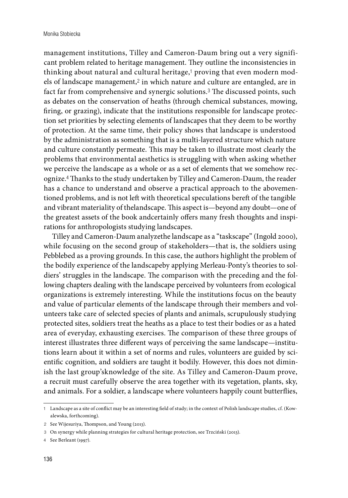management institutions, Tilley and Cameron-Daum bring out a very significant problem related to heritage management. They outline the inconsistencies in thinking about natural and cultural heritage,<sup>1</sup> proving that even modern models of landscape management,<sup>2</sup> in which nature and culture are entangled, are in fact far from comprehensive and synergic solutions.3 The discussed points, such as debates on the conservation of heaths (through chemical substances, mowing, firing, or grazing), indicate that the institutions responsible for landscape protection set priorities by selecting elements of landscapes that they deem to be worthy of protection. At the same time, their policy shows that landscape is understood by the administration as something that is a multi-layered structure which nature and culture constantly permeate. This may be taken to illustrate most clearly the problems that environmental aesthetics is struggling with when asking whether we perceive the landscape as a whole or as a set of elements that we somehow recognize.4 Thanks to the study undertaken by Tilley and Cameron-Daum, the reader has a chance to understand and observe a practical approach to the abovementioned problems, and is not left with theoretical speculations bereft of the tangible and vibrant materiality of thelandscape. This aspect is—beyond any doubt—one of the greatest assets of the book andcertainly offers many fresh thoughts and inspirations for anthropologists studying landscapes.

Tilley and Cameron-Daum analyzethe landscape as a "taskscape" (Ingold 2000), while focusing on the second group of stakeholders—that is, the soldiers using Pebblebed as a proving grounds. In this case, the authors highlight the problem of the bodily experience of the landscapeby applying Merleau-Ponty's theories to soldiers' struggles in the landscape. The comparison with the preceding and the following chapters dealing with the landscape perceived by volunteers from ecological organizations is extremely interesting. While the institutions focus on the beauty and value of particular elements of the landscape through their members and volunteers take care of selected species of plants and animals, scrupulously studying protected sites, soldiers treat the heaths as a place to test their bodies or as a hated area of everyday, exhausting exercises. The comparison of these three groups of interest illustrates three different ways of perceiving the same landscape—institutions learn about it within a set of norms and rules, volunteers are guided by scientific cognition, and soldiers are taught it bodily. However, this does not diminish the last group'sknowledge of the site. As Tilley and Cameron-Daum prove, a recruit must carefully observe the area together with its vegetation, plants, sky, and animals. For a soldier, a landscape where volunteers happily count butterflies,

<sup>1</sup> Landscape as a site of conflict may be an interesting field of study; in the context of Polish landscape studies, cf. (Kowalewska, forthcoming).

<sup>2</sup> See Wijesuriya, Thompson, and Young (2013).

<sup>3</sup> On synergy while planning strategies for cultural heritage protection, see Trzciński (2013).

<sup>4</sup> See Berleant (1997).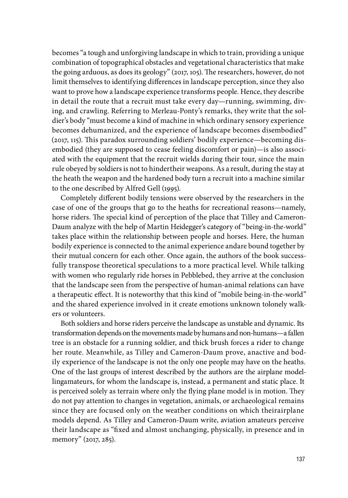becomes "a tough and unforgiving landscape in which to train, providing a unique combination of topographical obstacles and vegetational characteristics that make the going arduous, as does its geology" (2017, 105). The researchers, however, do not limit themselves to identifying differences in landscape perception, since they also want to prove how a landscape experience transforms people. Hence, they describe in detail the route that a recruit must take every day—running, swimming, diving, and crawling. Referring to Merleau-Ponty's remarks, they write that the soldier's body "must become a kind of machine in which ordinary sensory experience becomes dehumanized, and the experience of landscape becomes disembodied" (2017, 115). This paradox surrounding soldiers' bodily experience—becoming disembodied (they are supposed to cease feeling discomfort or pain)—is also associated with the equipment that the recruit wields during their tour, since the main rule obeyed by soldiers is not to hindertheir weapons. As a result, during the stay at the heath the weapon and the hardened body turn a recruit into a machine similar to the one described by Alfred Gell (1995).

Completely different bodily tensions were observed by the researchers in the case of one of the groups that go to the heaths for recreational reasons—namely, horse riders. The special kind of perception of the place that Tilley and Cameron-Daum analyze with the help of Martin Heidegger's category of "being-in-the-world" takes place within the relationship between people and horses. Here, the human bodily experience is connected to the animal experience andare bound together by their mutual concern for each other. Once again, the authors of the book successfully transpose theoretical speculations to a more practical level. While talking with women who regularly ride horses in Pebblebed, they arrive at the conclusion that the landscape seen from the perspective of human-animal relations can have a therapeutic effect. It is noteworthy that this kind of "mobile being-in-the-world" and the shared experience involved in it create emotions unknown tolonely walkers or volunteers.

Both soldiers and horse riders perceive the landscape as unstable and dynamic. Its transformation depends on the movements made by humans and non-humans—a fallen tree is an obstacle for a running soldier, and thick brush forces a rider to change her route. Meanwhile, as Tilley and Cameron-Daum prove, anactive and bodily experience of the landscape is not the only one people may have on the heaths. One of the last groups of interest described by the authors are the airplane modellingamateurs, for whom the landscape is, instead, a permanent and static place. It is perceived solely as terrain where only the flying plane model is in motion. They do not pay attention to changes in vegetation, animals, or archaeological remains since they are focused only on the weather conditions on which theirairplane models depend. As Tilley and Cameron-Daum write, aviation amateurs perceive their landscape as "fixed and almost unchanging, physically, in presence and in memory" (2017, 285).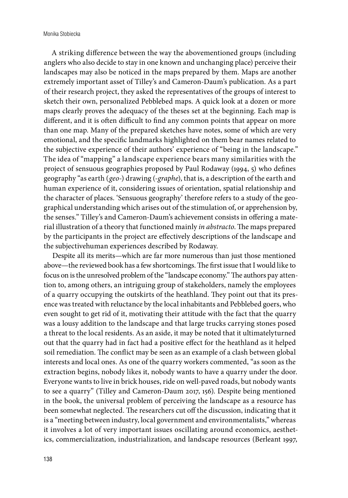A striking difference between the way the abovementioned groups (including anglers who also decide to stay in one known and unchanging place) perceive their landscapes may also be noticed in the maps prepared by them. Maps are another extremely important asset of Tilley's and Cameron-Daum's publication. As a part of their research project, they asked the representatives of the groups of interest to sketch their own, personalized Pebblebed maps. A quick look at a dozen or more maps clearly proves the adequacy of the theses set at the beginning. Each map is different, and it is often difficult to find any common points that appear on more than one map. Many of the prepared sketches have notes, some of which are very emotional, and the specific landmarks highlighted on them bear names related to the subjective experience of their authors' experience of "being in the landscape." The idea of "mapping" a landscape experience bears many similarities with the project of sensuous geographies proposed by Paul Rodaway (1994, 5) who defines geography "as earth (*geo*-) drawing (-*graphe*), that is, a description of the earth and human experience of it, considering issues of orientation, spatial relationship and the character of places. 'Sensuous geography' therefore refers to a study of the geographical understanding which arises out of the stimulation of, or apprehension by, the senses." Tilley's and Cameron-Daum's achievement consists in offering a material illustration of a theory that functioned mainly *in abstracto*. The maps prepared by the participants in the project are effectively descriptions of the landscape and the subjectivehuman experiences described by Rodaway.

Despite all its merits—which are far more numerous than just those mentioned above—the reviewed book has a few shortcomings. The first issue that I would like to focus on is the unresolved problem of the "landscape economy." The authors pay attention to, among others, an intriguing group of stakeholders, namely the employees of a quarry occupying the outskirts of the heathland. They point out that its presence was treated with reluctance by the local inhabitants and Pebblebed goers, who even sought to get rid of it, motivating their attitude with the fact that the quarry was a lousy addition to the landscape and that large trucks carrying stones posed a threat to the local residents. As an aside, it may be noted that it ultimatelyturned out that the quarry had in fact had a positive effect for the heathland as it helped soil remediation. The conflict may be seen as an example of a clash between global interests and local ones. As one of the quarry workers commented, "as soon as the extraction begins, nobody likes it, nobody wants to have a quarry under the door. Everyone wants to live in brick houses, ride on well-paved roads, but nobody wants to see a quarry" (Tilley and Cameron-Daum 2017, 156). Despite being mentioned in the book, the universal problem of perceiving the landscape as a resource has been somewhat neglected. The researchers cut off the discussion, indicating that it is a "meeting between industry, local government and environmentalists," whereas it involves a lot of very important issues oscillating around economics, aesthetics, commercialization, industrialization, and landscape resources (Berleant 1997,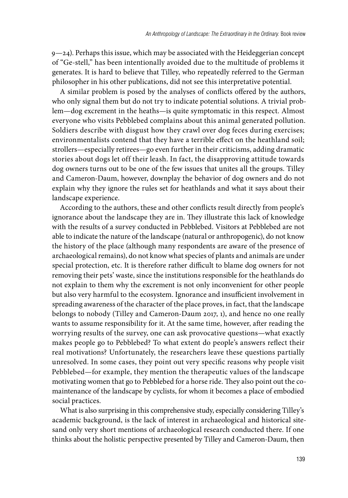$9 - 24$ ). Perhaps this issue, which may be associated with the Heideggerian concept of "Ge-stell," has been intentionally avoided due to the multitude of problems it generates. It is hard to believe that Tilley, who repeatedly referred to the German philosopher in his other publications, did not see this interpretative potential.

A similar problem is posed by the analyses of conflicts offered by the authors, who only signal them but do not try to indicate potential solutions. A trivial problem—dog excrement in the heaths—is quite symptomatic in this respect. Almost everyone who visits Pebblebed complains about this animal generated pollution. Soldiers describe with disgust how they crawl over dog feces during exercises; environmentalists contend that they have a terrible effect on the heathland soil; strollers—especially retirees—go even further in their criticisms, adding dramatic stories about dogs let off their leash. In fact, the disapproving attitude towards dog owners turns out to be one of the few issues that unites all the groups. Tilley and Cameron-Daum, however, downplay the behavior of dog owners and do not explain why they ignore the rules set for heathlands and what it says about their landscape experience.

According to the authors, these and other conflicts result directly from people's ignorance about the landscape they are in. They illustrate this lack of knowledge with the results of a survey conducted in Pebblebed. Visitors at Pebblebed are not able to indicate the nature of the landscape (natural or anthropogenic), do not know the history of the place (although many respondents are aware of the presence of archaeological remains), do not know what species of plants and animals are under special protection, etc. It is therefore rather difficult to blame dog owners for not removing their pets' waste, since the institutions responsible for the heathlands do not explain to them why the excrement is not only inconvenient for other people but also very harmful to the ecosystem. Ignorance and insufficient involvement in spreading awareness of the character of the place proves, in fact, that the landscape belongs to nobody (Tilley and Cameron-Daum 2017, 1), and hence no one really wants to assume responsibility for it. At the same time, however, after reading the worrying results of the survey, one can ask provocative questions—what exactly makes people go to Pebblebed? To what extent do people's answers reflect their real motivations? Unfortunately, the researchers leave these questions partially unresolved. In some cases, they point out very specific reasons why people visit Pebblebed—for example, they mention the therapeutic values of the landscape motivating women that go to Pebblebed for a horse ride. They also point out the comaintenance of the landscape by cyclists, for whom it becomes a place of embodied social practices.

What is also surprising in this comprehensive study, especially considering Tilley's academic background, is the lack of interest in archaeological and historical sitesand only very short mentions of archaeological research conducted there. If one thinks about the holistic perspective presented by Tilley and Cameron-Daum, then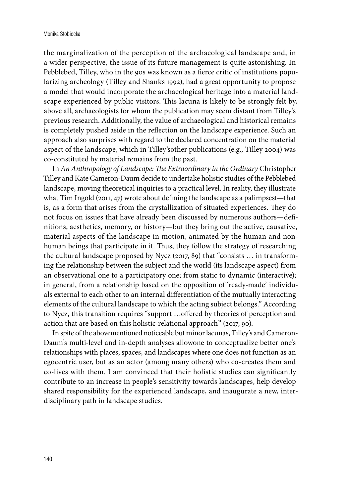the marginalization of the perception of the archaeological landscape and, in a wider perspective, the issue of its future management is quite astonishing. In Pebblebed, Tilley, who in the 90s was known as a fierce critic of institutions popularizing archeology (Tilley and Shanks 1992), had a great opportunity to propose a model that would incorporate the archaeological heritage into a material landscape experienced by public visitors. This lacuna is likely to be strongly felt by, above all, archaeologists for whom the publication may seem distant from Tilley's previous research. Additionally, the value of archaeological and historical remains is completely pushed aside in the reflection on the landscape experience. Such an approach also surprises with regard to the declared concentration on the material aspect of the landscape, which in Tilley'sother publications (e.g., Tilley 2004) was co-constituted by material remains from the past.

In *An Anthropology of Landscape: The Extraordinary in the Ordinary* Christopher Tilley and Kate Cameron-Daum decide to undertake holistic studies of the Pebblebed landscape, moving theoretical inquiries to a practical level. In reality, they illustrate what Tim Ingold (2011, 47) wrote about defining the landscape as a palimpsest—that is, as a form that arises from the crystallization of situated experiences. They do not focus on issues that have already been discussed by numerous authors—definitions, aesthetics, memory, or history—but they bring out the active, causative, material aspects of the landscape in motion, animated by the human and nonhuman beings that participate in it. Thus, they follow the strategy of researching the cultural landscape proposed by Nycz (2017, 89) that "consists … in transforming the relationship between the subject and the world (its landscape aspect) from an observational one to a participatory one; from static to dynamic (interactive); in general, from a relationship based on the opposition of 'ready-made' individuals external to each other to an internal differentiation of the mutually interacting elements of the cultural landscape to which the acting subject belongs." According to Nycz, this transition requires "support …offered by theories of perception and action that are based on this holistic-relational approach" (2017, 90).

In spite of the abovementioned noticeable but minor lacunas, Tilley's and Cameron-Daum's multi-level and in-depth analyses allowone to conceptualize better one's relationships with places, spaces, and landscapes where one does not function as an egocentric user, but as an actor (among many others) who co-creates them and co-lives with them. I am convinced that their holistic studies can significantly contribute to an increase in people's sensitivity towards landscapes, help develop shared responsibility for the experienced landscape, and inaugurate a new, interdisciplinary path in landscape studies.